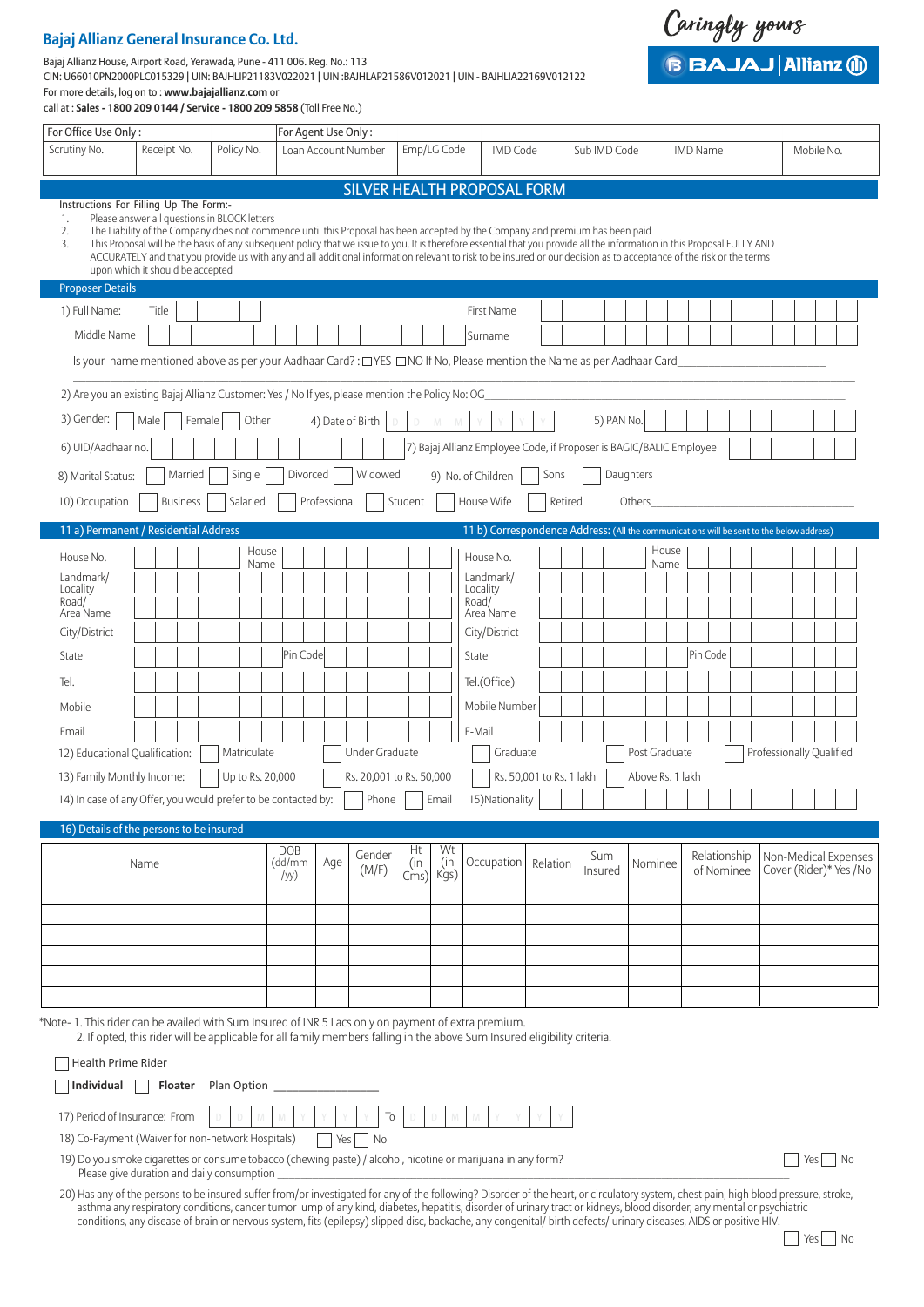## **Bajaj Allianz General Insurance Co. Ltd.**

Bajaj Allianz House, Airport Road, Yerawada, Pune - 411 006. Reg. No.: 113

CIN: U66010PN2000PLC015329 | UIN: BAJHLIP21183V022021 | UIN :BAJHLAP21586V012021 | UIN - BAJHLIA22169V012122 For more details, log on to : **www.bajajallianz.com** or

call at : **Sales - 1800 209 0144 / Service - 1800 209 5858** (Toll Free No.)

| For Office Use Only:                                                                                 |                                                                                                                                                                                                                                                                                                                                                                                                                                                                                                                                                                      |             | For Agent Use Only:  |              |                               |           |             |                                                                                          |                          |         |              |                  |       |                 |  |                          |            |  |
|------------------------------------------------------------------------------------------------------|----------------------------------------------------------------------------------------------------------------------------------------------------------------------------------------------------------------------------------------------------------------------------------------------------------------------------------------------------------------------------------------------------------------------------------------------------------------------------------------------------------------------------------------------------------------------|-------------|----------------------|--------------|-------------------------------|-----------|-------------|------------------------------------------------------------------------------------------|--------------------------|---------|--------------|------------------|-------|-----------------|--|--------------------------|------------|--|
| Scrutiny No.                                                                                         | Receipt No.                                                                                                                                                                                                                                                                                                                                                                                                                                                                                                                                                          | Policy No.  |                      |              | Loan Account Number           |           | Emp/LG Code | <b>IMD Code</b>                                                                          |                          |         | Sub IMD Code |                  |       | <b>IMD Name</b> |  |                          | Mobile No. |  |
|                                                                                                      |                                                                                                                                                                                                                                                                                                                                                                                                                                                                                                                                                                      |             |                      |              |                               |           |             |                                                                                          |                          |         |              |                  |       |                 |  |                          |            |  |
|                                                                                                      |                                                                                                                                                                                                                                                                                                                                                                                                                                                                                                                                                                      |             |                      |              |                               |           |             | <b>SILVER HEALTH PROPOSAL FORM</b>                                                       |                          |         |              |                  |       |                 |  |                          |            |  |
| Instructions For Filling Up The Form:-<br>1.<br>2.<br>3.                                             | Please answer all questions in BLOCK letters<br>The Liability of the Company does not commence until this Proposal has been accepted by the Company and premium has been paid<br>This Proposal will be the basis of any subsequent policy that we issue to you. It is therefore essential that you provide all the information in this Proposal FULLY AND<br>ACCURATELY and that you provide us with any and all additional information relevant to risk to be insured or our decision as to acceptance of the risk or the terms<br>upon which it should be accepted |             |                      |              |                               |           |             |                                                                                          |                          |         |              |                  |       |                 |  |                          |            |  |
| <b>Proposer Details</b>                                                                              |                                                                                                                                                                                                                                                                                                                                                                                                                                                                                                                                                                      |             |                      |              |                               |           |             |                                                                                          |                          |         |              |                  |       |                 |  |                          |            |  |
| 1) Full Name:                                                                                        | Title                                                                                                                                                                                                                                                                                                                                                                                                                                                                                                                                                                |             |                      |              |                               |           |             | <b>First Name</b>                                                                        |                          |         |              |                  |       |                 |  |                          |            |  |
| Middle Name                                                                                          |                                                                                                                                                                                                                                                                                                                                                                                                                                                                                                                                                                      |             |                      |              |                               |           |             | Surname                                                                                  |                          |         |              |                  |       |                 |  |                          |            |  |
|                                                                                                      | Is your name mentioned above as per your Aadhaar Card?: [TYES I] NO, If No, Please mention the Name as per Aadhaar Card                                                                                                                                                                                                                                                                                                                                                                                                                                              |             |                      |              |                               |           |             |                                                                                          |                          |         |              |                  |       |                 |  |                          |            |  |
| 2) Are you an existing Bajaj Allianz Customer: Yes / No If yes, please mention the Policy No: OG_    |                                                                                                                                                                                                                                                                                                                                                                                                                                                                                                                                                                      |             |                      |              |                               |           |             |                                                                                          |                          |         |              |                  |       |                 |  |                          |            |  |
|                                                                                                      |                                                                                                                                                                                                                                                                                                                                                                                                                                                                                                                                                                      |             |                      |              |                               |           |             |                                                                                          |                          |         |              |                  |       |                 |  |                          |            |  |
| 3) Gender:                                                                                           | Male                                                                                                                                                                                                                                                                                                                                                                                                                                                                                                                                                                 | Female      | Other                |              | 4) Date of Birth $\vert$<br>D | D         | M           |                                                                                          |                          |         | 5) PAN No.   |                  |       |                 |  |                          |            |  |
| 6) UID/Aadhaar no.                                                                                   |                                                                                                                                                                                                                                                                                                                                                                                                                                                                                                                                                                      |             |                      |              |                               |           |             | 7) Bajaj Allianz Employee Code, if Proposer is BAGIC/BALIC Employee                      |                          |         |              |                  |       |                 |  |                          |            |  |
| 8) Marital Status:                                                                                   | Married                                                                                                                                                                                                                                                                                                                                                                                                                                                                                                                                                              | Single      | Divorced             |              | Widowed                       |           |             | 9) No. of Children                                                                       | Sons                     |         |              | Daughters        |       |                 |  |                          |            |  |
| 10) Occupation                                                                                       | <b>Business</b>                                                                                                                                                                                                                                                                                                                                                                                                                                                                                                                                                      | Salaried    |                      | Professional |                               | Student   |             | House Wife                                                                               |                          | Retired |              | Others           |       |                 |  |                          |            |  |
| 11 a) Permanent / Residential Address                                                                |                                                                                                                                                                                                                                                                                                                                                                                                                                                                                                                                                                      |             |                      |              |                               |           |             | 11 b) Correspondence Address: (All the communications will be sent to the below address) |                          |         |              |                  |       |                 |  |                          |            |  |
|                                                                                                      |                                                                                                                                                                                                                                                                                                                                                                                                                                                                                                                                                                      |             | House                |              |                               |           |             |                                                                                          |                          |         |              |                  | House |                 |  |                          |            |  |
| House No.                                                                                            |                                                                                                                                                                                                                                                                                                                                                                                                                                                                                                                                                                      |             | Name                 |              |                               |           |             | House No.                                                                                |                          |         |              |                  | Name  |                 |  |                          |            |  |
| Landmark/<br>Locality                                                                                |                                                                                                                                                                                                                                                                                                                                                                                                                                                                                                                                                                      |             |                      |              |                               |           |             | Landmark/<br>Locality                                                                    |                          |         |              |                  |       |                 |  |                          |            |  |
| Road/<br>Area Name                                                                                   |                                                                                                                                                                                                                                                                                                                                                                                                                                                                                                                                                                      |             |                      |              |                               |           |             | Road/<br>Area Name                                                                       |                          |         |              |                  |       |                 |  |                          |            |  |
| City/District                                                                                        |                                                                                                                                                                                                                                                                                                                                                                                                                                                                                                                                                                      |             |                      |              |                               |           |             | City/District                                                                            |                          |         |              |                  |       |                 |  |                          |            |  |
| State                                                                                                |                                                                                                                                                                                                                                                                                                                                                                                                                                                                                                                                                                      |             | Pin Code             |              |                               |           |             | State                                                                                    |                          |         |              |                  |       | Pin Code        |  |                          |            |  |
| Tel.                                                                                                 |                                                                                                                                                                                                                                                                                                                                                                                                                                                                                                                                                                      |             |                      |              |                               |           |             | Tel.(Office)                                                                             |                          |         |              |                  |       |                 |  |                          |            |  |
| Mobile                                                                                               |                                                                                                                                                                                                                                                                                                                                                                                                                                                                                                                                                                      |             |                      |              |                               |           |             | Mobile Number                                                                            |                          |         |              |                  |       |                 |  |                          |            |  |
| Email                                                                                                |                                                                                                                                                                                                                                                                                                                                                                                                                                                                                                                                                                      |             |                      |              |                               |           |             | E-Mail                                                                                   |                          |         |              |                  |       |                 |  |                          |            |  |
| 12) Educational Qualification:                                                                       |                                                                                                                                                                                                                                                                                                                                                                                                                                                                                                                                                                      | Matriculate |                      |              | <b>Under Graduate</b>         |           |             | Graduate                                                                                 |                          |         |              | Post Graduate    |       |                 |  | Professionally Qualified |            |  |
| 13) Family Monthly Income:                                                                           |                                                                                                                                                                                                                                                                                                                                                                                                                                                                                                                                                                      |             | Up to Rs. 20,000     |              | Rs. 20,001 to Rs. 50,000      |           |             |                                                                                          | Rs. 50,001 to Rs. 1 lakh |         |              | Above Rs. 1 lakh |       |                 |  |                          |            |  |
| 14) In case of any Offer, you would prefer to be contacted by:                                       |                                                                                                                                                                                                                                                                                                                                                                                                                                                                                                                                                                      |             |                      |              | Phone                         |           | Email       | 15) Nationality                                                                          |                          |         |              |                  |       |                 |  |                          |            |  |
|                                                                                                      |                                                                                                                                                                                                                                                                                                                                                                                                                                                                                                                                                                      |             |                      |              |                               |           |             |                                                                                          |                          |         |              |                  |       |                 |  |                          |            |  |
| 16) Details of the persons to be insured                                                             |                                                                                                                                                                                                                                                                                                                                                                                                                                                                                                                                                                      |             |                      |              |                               |           |             |                                                                                          |                          |         |              |                  |       |                 |  |                          |            |  |
|                                                                                                      | Name                                                                                                                                                                                                                                                                                                                                                                                                                                                                                                                                                                 |             | <b>DOB</b><br>(dd/mm | Age          | Gender                        | Ht<br>(in | Wt<br>(in   | Occupation                                                                               | Relation                 |         | Sum          | Nominee          |       | Relationship    |  | Non-Medical Expenses     |            |  |
|                                                                                                      |                                                                                                                                                                                                                                                                                                                                                                                                                                                                                                                                                                      |             | /yy)                 |              | (M/F)                         | Cms)      | Kgs)        |                                                                                          |                          |         | Insured      |                  |       | of Nominee      |  | Cover (Rider)* Yes / No  |            |  |
|                                                                                                      |                                                                                                                                                                                                                                                                                                                                                                                                                                                                                                                                                                      |             |                      |              |                               |           |             |                                                                                          |                          |         |              |                  |       |                 |  |                          |            |  |
|                                                                                                      |                                                                                                                                                                                                                                                                                                                                                                                                                                                                                                                                                                      |             |                      |              |                               |           |             |                                                                                          |                          |         |              |                  |       |                 |  |                          |            |  |
|                                                                                                      |                                                                                                                                                                                                                                                                                                                                                                                                                                                                                                                                                                      |             |                      |              |                               |           |             |                                                                                          |                          |         |              |                  |       |                 |  |                          |            |  |
|                                                                                                      |                                                                                                                                                                                                                                                                                                                                                                                                                                                                                                                                                                      |             |                      |              |                               |           |             |                                                                                          |                          |         |              |                  |       |                 |  |                          |            |  |
|                                                                                                      |                                                                                                                                                                                                                                                                                                                                                                                                                                                                                                                                                                      |             |                      |              |                               |           |             |                                                                                          |                          |         |              |                  |       |                 |  |                          |            |  |
| *Note- 1. This rider can be availed with Sum Insured of INR 5 Lacs only on payment of extra premium. |                                                                                                                                                                                                                                                                                                                                                                                                                                                                                                                                                                      |             |                      |              |                               |           |             |                                                                                          |                          |         |              |                  |       |                 |  |                          |            |  |
|                                                                                                      | 2. If opted, this rider will be applicable for all family members falling in the above Sum Insured eligibility criteria.                                                                                                                                                                                                                                                                                                                                                                                                                                             |             |                      |              |                               |           |             |                                                                                          |                          |         |              |                  |       |                 |  |                          |            |  |
| Health Prime Rider                                                                                   |                                                                                                                                                                                                                                                                                                                                                                                                                                                                                                                                                                      |             |                      |              |                               |           |             |                                                                                          |                          |         |              |                  |       |                 |  |                          |            |  |

| 18) Co-Payment (Waiver for non-network Hospitals)   Yes No |  |  |  |  |  |  |  |  |  |  |  |  |  |
|------------------------------------------------------------|--|--|--|--|--|--|--|--|--|--|--|--|--|

**Individual Floater** Plan Option

19) Do you smoke cigarettes or consume tobacco (chewing paste) / alcohol, nicotine or marijuana in any form? Please give duration and daily consumption

Yes No

Caringly yours

**BBAJAJ Allianz (ii)** 

20) Has any of the persons to be insured suffer from/or investigated for any of the following? Disorder of the heart, or circulatory system, chest pain, high blood pressure, stroke, asthma any respiratory conditions, cancer tumor lump of any kind, diabetes, hepatitis, disorder of urinary tract or kidneys, blood disorder, any mental or psychiatric conditions, any disease of brain or nervous system, fits (epilepsy) slipped disc, backache, any congenital/ birth defects/ urinary diseases, AIDS or positive HIV.

Yes<sup>No</sup>